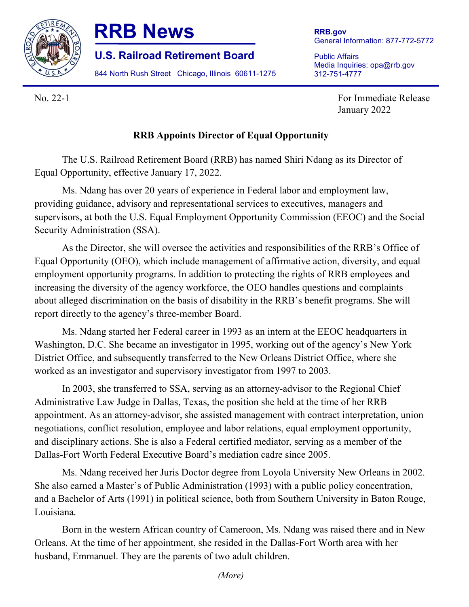

## **RRB News**

**U.S. Railroad Retirement Board**

844 North Rush Street Chicago, Illinois 60611-1275

**RRB.gov** General Information: 877-772-5772

Public Affairs Media Inquiries: opa@rrb.gov 312-751-4777

No. 22-1 For Immediate Release January 2022

## **RRB Appoints Director of Equal Opportunity**

The U.S. Railroad Retirement Board (RRB) has named Shiri Ndang as its Director of Equal Opportunity, effective January 17, 2022.

Ms. Ndang has over 20 years of experience in Federal labor and employment law, providing guidance, advisory and representational services to executives, managers and supervisors, at both the U.S. Equal Employment Opportunity Commission (EEOC) and the Social Security Administration (SSA).

As the Director, she will oversee the activities and responsibilities of the RRB's Office of Equal Opportunity (OEO), which include management of affirmative action, diversity, and equal employment opportunity programs. In addition to protecting the rights of RRB employees and increasing the diversity of the agency workforce, the OEO handles questions and complaints about alleged discrimination on the basis of disability in the RRB's benefit programs. She will report directly to the agency's three-member Board.

Ms. Ndang started her Federal career in 1993 as an intern at the EEOC headquarters in Washington, D.C. She became an investigator in 1995, working out of the agency's New York District Office, and subsequently transferred to the New Orleans District Office, where she worked as an investigator and supervisory investigator from 1997 to 2003.

In 2003, she transferred to SSA, serving as an attorney-advisor to the Regional Chief Administrative Law Judge in Dallas, Texas, the position she held at the time of her RRB appointment. As an attorney-advisor, she assisted management with contract interpretation, union negotiations, conflict resolution, employee and labor relations, equal employment opportunity, and disciplinary actions. She is also a Federal certified mediator, serving as a member of the Dallas-Fort Worth Federal Executive Board's mediation cadre since 2005.

Ms. Ndang received her Juris Doctor degree from Loyola University New Orleans in 2002. She also earned a Master's of Public Administration (1993) with a public policy concentration, and a Bachelor of Arts (1991) in political science, both from Southern University in Baton Rouge, Louisiana.

Born in the western African country of Cameroon, Ms. Ndang was raised there and in New Orleans. At the time of her appointment, she resided in the Dallas-Fort Worth area with her husband, Emmanuel. They are the parents of two adult children.